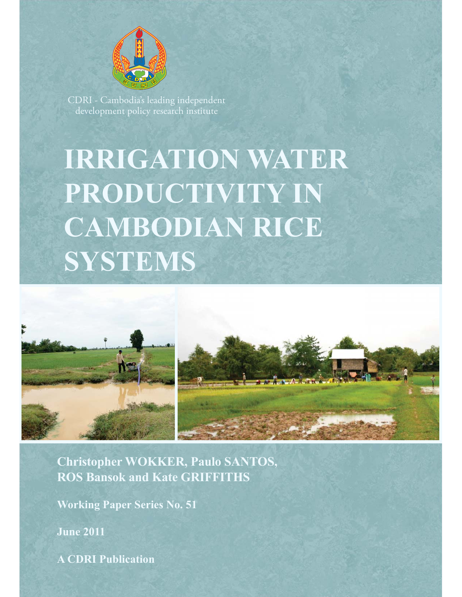

CDRI - Cambodia's leading independent development policy research institute

# **IRRIGATION WATER PRODUCTIVITY IN CAMBODIAN RICE SYSTEMS**



**Christopher WOKKER, Paulo SANTOS, ROS Bansok and Kate GRIFFITHS** 

**Working Paper Series No. 51**

**June 2011**

**A CDRI Publication**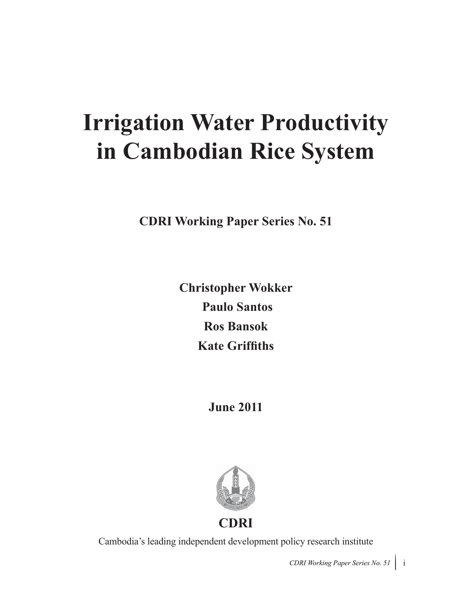# **Irrigation Water Productivity in Cambodian Rice System**

**CDRI Working Paper Series No. 51**

**Christopher Wokker Paulo Santos Ros Bansok Kate Griffiths**

**June 2011**



Cambodia's leading independent development policy research institute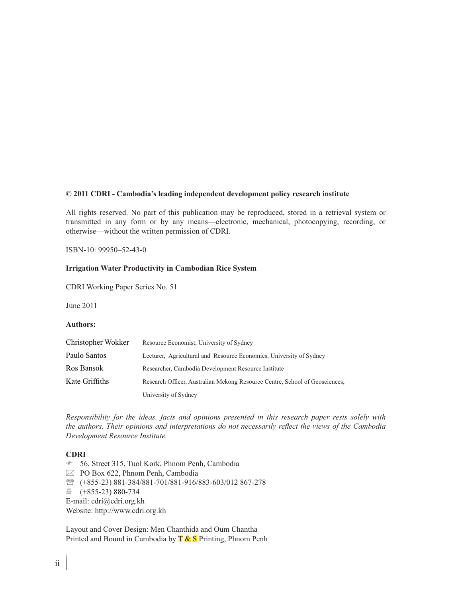#### **© 2011 CDRI - Cambodia's leading independent development policy research institute**

All rights reserved. No part of this publication may be reproduced, stored in a retrieval system or transmitted in any form or by any means—electronic, mechanical, photocopying, recording, or otherwise—without the written permission of CDRI.

ISBN-10: 99950–52-43-0

#### **Irrigation Water Productivity in Cambodian Rice System**

CDRI Working Paper Series No. 51

June 2011

#### **Authors:**

| Christopher Wokker | Resource Economist, University of Sydney                                    |
|--------------------|-----------------------------------------------------------------------------|
| Paulo Santos       | Lecturer, Agricultural and Resource Economics, University of Sydney         |
| Ros Bansok         | Researcher, Cambodia Development Resource Institute                         |
| Kate Griffiths     | Research Officer, Australian Mekong Resource Centre, School of Geosciences, |
|                    | University of Sydney                                                        |

*Responsibility for the ideas, facts and opinions presented in this research paper rests solely with the authors. Their opinions and interpretations do not necessarily reflect the views of the Cambodia Development Resource Institute.*

#### **CDRI**

- 56, Street 315, Tuol Kork, Phnom Penh, Cambodia
- $\boxtimes$  PO Box 622, Phnom Penh, Cambodia
- ℡ (+855-23) 881-384/881-701/881-916/883-603/012 867-278
- (+855-23) 880-734
- E-mail: cdri@cdri.org.kh

Website: http://www.cdri.org.kh

Layout and Cover Design: Men Chanthida and Oum Chantha Printed and Bound in Cambodia by  $T \& S$  Printing, Phnom Penh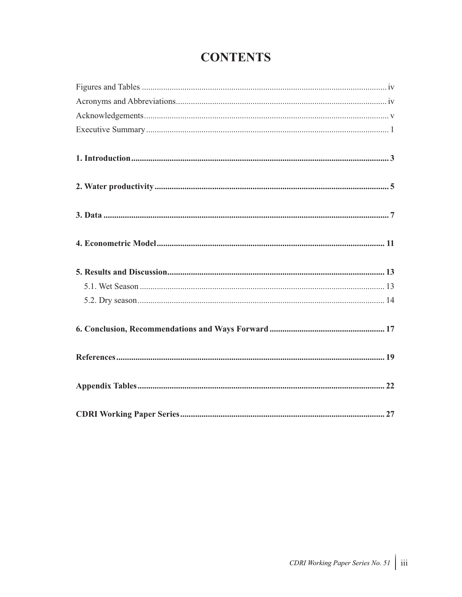## **CONTENTS**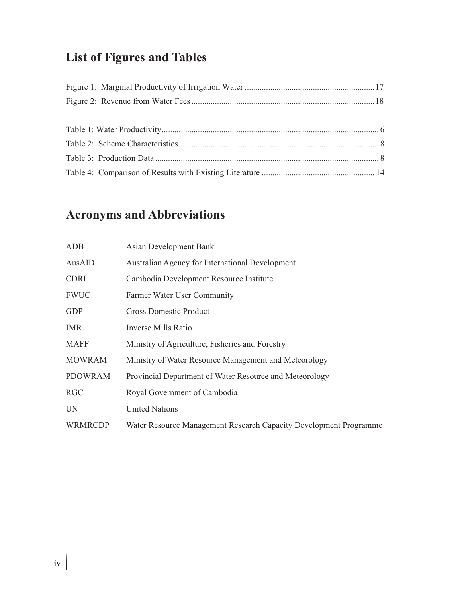## **List of Figures and Tables**

## **Acronyms and Abbreviations**

| ADB            | Asian Development Bank                                            |
|----------------|-------------------------------------------------------------------|
| AusAID         | <b>Australian Agency for International Development</b>            |
| <b>CDRI</b>    | Cambodia Development Resource Institute                           |
| <b>FWUC</b>    | Farmer Water User Community                                       |
| <b>GDP</b>     | <b>Gross Domestic Product</b>                                     |
| <b>IMR</b>     | Inverse Mills Ratio                                               |
| <b>MAFF</b>    | Ministry of Agriculture, Fisheries and Forestry                   |
| <b>MOWRAM</b>  | Ministry of Water Resource Management and Meteorology             |
| <b>PDOWRAM</b> | Provincial Department of Water Resource and Meteorology           |
| <b>RGC</b>     | Royal Government of Cambodia                                      |
| <b>UN</b>      | <b>United Nations</b>                                             |
| <b>WRMRCDP</b> | Water Resource Management Research Capacity Development Programme |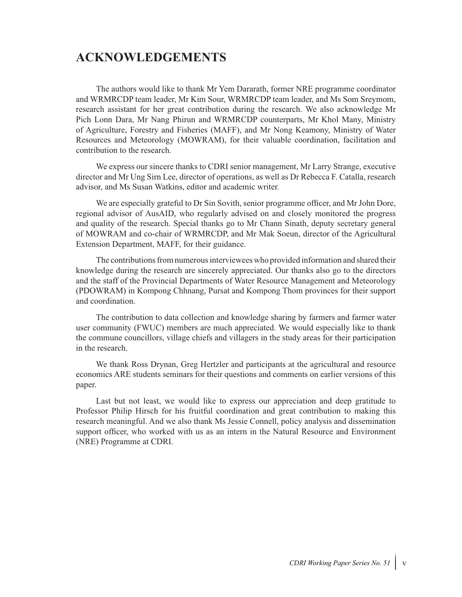### **ACKNOWLEDGEMENTS**

The authors would like to thank Mr Yem Dararath, former NRE programme coordinator and WRMRCDP team leader, Mr Kim Sour, WRMRCDP team leader, and Ms Som Sreymom, research assistant for her great contribution during the research. We also acknowledge Mr Pich Lonn Dara, Mr Nang Phirun and WRMRCDP counterparts, Mr Khol Many, Ministry of Agriculture, Forestry and Fisheries (MAFF), and Mr Nong Keamony, Ministry of Water Resources and Meteorology (MOWRAM), for their valuable coordination, facilitation and contribution to the research.

We express our sincere thanks to CDRI senior management, Mr Larry Strange, executive director and Mr Ung Sirn Lee, director of operations, as well as Dr Rebecca F. Catalla, research advisor, and Ms Susan Watkins, editor and academic writer.

We are especially grateful to Dr Sin Sovith, senior programme officer, and Mr John Dore, regional advisor of AusAID, who regularly advised on and closely monitored the progress and quality of the research. Special thanks go to Mr Chann Sinath, deputy secretary general of MOWRAM and co-chair of WRMRCDP, and Mr Mak Soeun, director of the Agricultural Extension Department, MAFF, for their guidance.

The contributions from numerous interviewees who provided information and shared their knowledge during the research are sincerely appreciated. Our thanks also go to the directors and the staff of the Provincial Departments of Water Resource Management and Meteorology (PDOWRAM) in Kompong Chhnang, Pursat and Kompong Thom provinces for their support and coordination.

The contribution to data collection and knowledge sharing by farmers and farmer water user community (FWUC) members are much appreciated. We would especially like to thank the commune councillors, village chiefs and villagers in the study areas for their participation in the research.

We thank Ross Drynan, Greg Hertzler and participants at the agricultural and resource economics ARE students seminars for their questions and comments on earlier versions of this paper.

Last but not least, we would like to express our appreciation and deep gratitude to Professor Philip Hirsch for his fruitful coordination and great contribution to making this research meaningful. And we also thank Ms Jessie Connell, policy analysis and dissemination support officer, who worked with us as an intern in the Natural Resource and Environment (NRE) Programme at CDRI.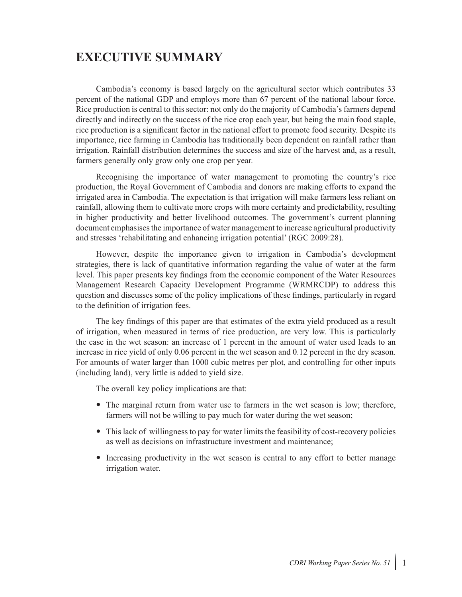## **EXECUTIVE SUMMARY**

Cambodia's economy is based largely on the agricultural sector which contributes 33 percent of the national GDP and employs more than 67 percent of the national labour force. Rice production is central to this sector: not only do the majority of Cambodia's farmers depend directly and indirectly on the success of the rice crop each year, but being the main food staple, rice production is a significant factor in the national effort to promote food security. Despite its importance, rice farming in Cambodia has traditionally been dependent on rainfall rather than irrigation. Rainfall distribution determines the success and size of the harvest and, as a result, farmers generally only grow only one crop per year.

Recognising the importance of water management to promoting the country's rice production, the Royal Government of Cambodia and donors are making efforts to expand the irrigated area in Cambodia. The expectation is that irrigation will make farmers less reliant on rainfall, allowing them to cultivate more crops with more certainty and predictability, resulting in higher productivity and better livelihood outcomes. The government's current planning document emphasises the importance of water management to increase agricultural productivity and stresses 'rehabilitating and enhancing irrigation potential' (RGC 2009:28).

However, despite the importance given to irrigation in Cambodia's development strategies, there is lack of quantitative information regarding the value of water at the farm level. This paper presents key findings from the economic component of the Water Resources Management Research Capacity Development Programme (WRMRCDP) to address this question and discusses some of the policy implications of these findings, particularly in regard to the definition of irrigation fees.

The key findings of this paper are that estimates of the extra yield produced as a result of irrigation, when measured in terms of rice production, are very low. This is particularly the case in the wet season: an increase of 1 percent in the amount of water used leads to an increase in rice yield of only 0.06 percent in the wet season and 0.12 percent in the dry season. For amounts of water larger than 1000 cubic metres per plot, and controlling for other inputs (including land), very little is added to yield size.

The overall key policy implications are that:

- The marginal return from water use to farmers in the wet season is low; therefore, farmers will not be willing to pay much for water during the wet season;
- This lack of willingness to pay for water limits the feasibility of cost-recovery policies as well as decisions on infrastructure investment and maintenance;
- Increasing productivity in the wet season is central to any effort to better manage irrigation water.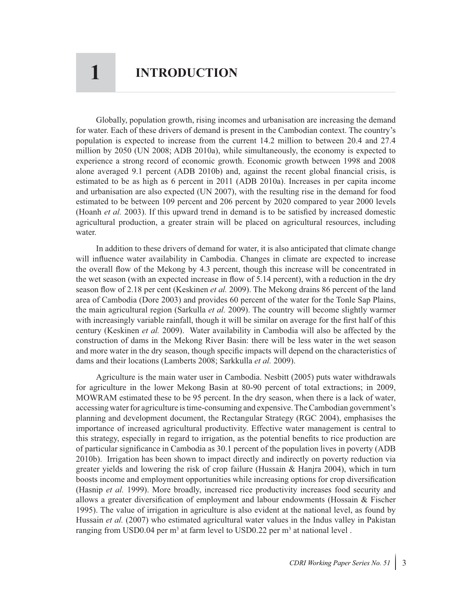## **1 INTRODUCTION**

Globally, population growth, rising incomes and urbanisation are increasing the demand for water. Each of these drivers of demand is present in the Cambodian context. The country's population is expected to increase from the current 14.2 million to between 20.4 and 27.4 million by 2050 (UN 2008; ADB 2010a), while simultaneously, the economy is expected to experience a strong record of economic growth. Economic growth between 1998 and 2008 alone averaged 9.1 percent (ADB 2010b) and, against the recent global financial crisis, is estimated to be as high as 6 percent in 2011 (ADB 2010a). Increases in per capita income and urbanisation are also expected (UN 2007), with the resulting rise in the demand for food estimated to be between 109 percent and 206 percent by 2020 compared to year 2000 levels (Hoanh *et al.* 2003). If this upward trend in demand is to be satisfied by increased domestic agricultural production, a greater strain will be placed on agricultural resources, including water.

In addition to these drivers of demand for water, it is also anticipated that climate change will influence water availability in Cambodia. Changes in climate are expected to increase the overall flow of the Mekong by 4.3 percent, though this increase will be concentrated in the wet season (with an expected increase in flow of 5.14 percent), with a reduction in the dry season flow of 2.18 per cent (Keskinen *et al.* 2009). The Mekong drains 86 percent of the land area of Cambodia (Dore 2003) and provides 60 percent of the water for the Tonle Sap Plains, the main agricultural region (Sarkulla *et al.* 2009). The country will become slightly warmer with increasingly variable rainfall, though it will be similar on average for the first half of this century (Keskinen *et al.* 2009). Water availability in Cambodia will also be affected by the construction of dams in the Mekong River Basin: there will be less water in the wet season and more water in the dry season, though specific impacts will depend on the characteristics of dams and their locations (Lamberts 2008; Sarkkulla *et al.* 2009).

Agriculture is the main water user in Cambodia. Nesbitt (2005) puts water withdrawals for agriculture in the lower Mekong Basin at 80-90 percent of total extractions; in 2009, MOWRAM estimated these to be 95 percent. In the dry season, when there is a lack of water, accessing water for agriculture is time-consuming and expensive. The Cambodian government's planning and development document, the Rectangular Strategy (RGC 2004), emphasises the importance of increased agricultural productivity. Effective water management is central to this strategy, especially in regard to irrigation, as the potential benefits to rice production are of particular significance in Cambodia as 30.1 percent of the population lives in poverty (ADB 2010b). Irrigation has been shown to impact directly and indirectly on poverty reduction via greater yields and lowering the risk of crop failure (Hussain & Hanjra 2004), which in turn boosts income and employment opportunities while increasing options for crop diversification (Hasnip *et al.* 1999). More broadly, increased rice productivity increases food security and allows a greater diversification of employment and labour endowments (Hossain & Fischer 1995). The value of irrigation in agriculture is also evident at the national level, as found by Hussain *et al.* (2007) who estimated agricultural water values in the Indus valley in Pakistan ranging from USD0.04 per  $m^3$  at farm level to USD0.22 per  $m^3$  at national level.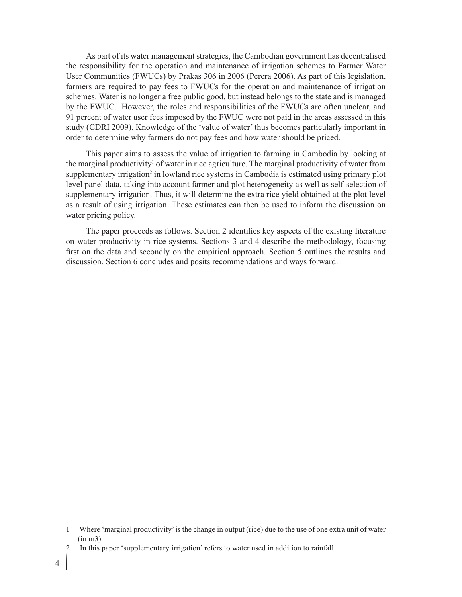As part of its water management strategies, the Cambodian government has decentralised the responsibility for the operation and maintenance of irrigation schemes to Farmer Water User Communities (FWUCs) by Prakas 306 in 2006 (Perera 2006). As part of this legislation, farmers are required to pay fees to FWUCs for the operation and maintenance of irrigation schemes. Water is no longer a free public good, but instead belongs to the state and is managed by the FWUC. However, the roles and responsibilities of the FWUCs are often unclear, and 91 percent of water user fees imposed by the FWUC were not paid in the areas assessed in this study (CDRI 2009). Knowledge of the 'value of water' thus becomes particularly important in order to determine why farmers do not pay fees and how water should be priced.

This paper aims to assess the value of irrigation to farming in Cambodia by looking at the marginal productivity<sup>1</sup> of water in rice agriculture. The marginal productivity of water from supplementary irrigation<sup>2</sup> in lowland rice systems in Cambodia is estimated using primary plot level panel data, taking into account farmer and plot heterogeneity as well as self-selection of supplementary irrigation. Thus, it will determine the extra rice yield obtained at the plot level as a result of using irrigation. These estimates can then be used to inform the discussion on water pricing policy.

The paper proceeds as follows. Section 2 identifies key aspects of the existing literature on water productivity in rice systems. Sections 3 and 4 describe the methodology, focusing first on the data and secondly on the empirical approach. Section 5 outlines the results and discussion. Section 6 concludes and posits recommendations and ways forward.

<sup>1</sup> Where 'marginal productivity' is the change in output (rice) due to the use of one extra unit of water (in m3)

<sup>2</sup> In this paper 'supplementary irrigation' refers to water used in addition to rainfall.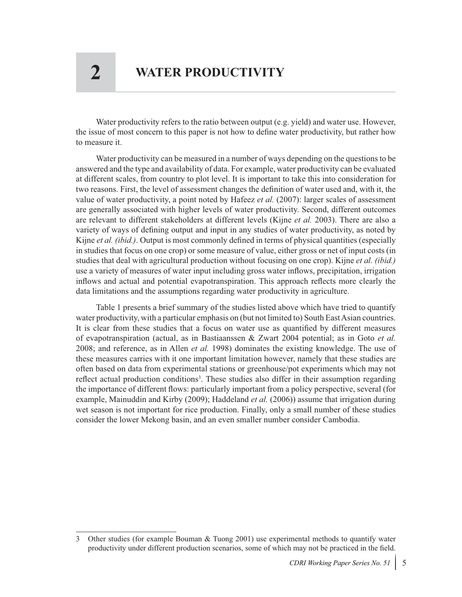Water productivity refers to the ratio between output (e.g. yield) and water use. However, the issue of most concern to this paper is not how to define water productivity, but rather how to measure it.

Water productivity can be measured in a number of ways depending on the questions to be answered and the type and availability of data. For example, water productivity can be evaluated at different scales, from country to plot level. It is important to take this into consideration for two reasons. First, the level of assessment changes the definition of water used and, with it, the value of water productivity, a point noted by Hafeez *et al.* (2007): larger scales of assessment are generally associated with higher levels of water productivity. Second, different outcomes are relevant to different stakeholders at different levels (Kijne *et al.* 2003). There are also a variety of ways of defining output and input in any studies of water productivity, as noted by Kijne *et al. (ibid.)*. Output is most commonly defined in terms of physical quantities (especially in studies that focus on one crop) or some measure of value, either gross or net of input costs (in studies that deal with agricultural production without focusing on one crop). Kijne *et al. (ibid.)* use a variety of measures of water input including gross water inflows, precipitation, irrigation inflows and actual and potential evapotranspiration. This approach reflects more clearly the data limitations and the assumptions regarding water productivity in agriculture.

Table 1 presents a brief summary of the studies listed above which have tried to quantify water productivity, with a particular emphasis on (but not limited to) South East Asian countries. It is clear from these studies that a focus on water use as quantified by different measures of evapotranspiration (actual, as in Bastiaanssen & Zwart 2004 potential; as in Goto *et al.*  2008; and reference, as in Allen *et al.* 1998) dominates the existing knowledge. The use of these measures carries with it one important limitation however, namely that these studies are often based on data from experimental stations or greenhouse/pot experiments which may not reflect actual production conditions<sup>3</sup>. These studies also differ in their assumption regarding the importance of different flows: particularly important from a policy perspective, several (for example, Mainuddin and Kirby (2009); Haddeland *et al.* (2006)) assume that irrigation during wet season is not important for rice production. Finally, only a small number of these studies consider the lower Mekong basin, and an even smaller number consider Cambodia.

<sup>3</sup> Other studies (for example Bouman & Tuong 2001) use experimental methods to quantify water productivity under different production scenarios, some of which may not be practiced in the field.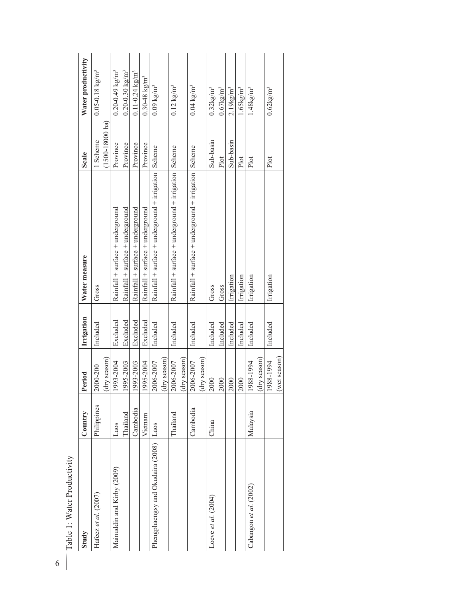| Study                             | Country     | Period                     | Irrigation | Water measure                                        | Scale                                 | Water productivity              |
|-----------------------------------|-------------|----------------------------|------------|------------------------------------------------------|---------------------------------------|---------------------------------|
| Hafeez et al. (2007)              | Philippines | (dry season)<br>2000-200   | Included   | Gross                                                | $(1500-18000 \text{ ha})$<br>1 Scheme | $0.05 - 0.18$ kg/m <sup>3</sup> |
| Mainuddin and Kirby (2009)        | Laos        | 1993-2004                  | Excluded   | Rainfall + surface + underground                     | Province                              | $0.20 - 0.49$ kg/m <sup>3</sup> |
|                                   | Thailand    | 1995-2003                  | Excluded   | Rainfall + surface + underground                     | Province                              | $0.20 - 0.30$ kg/m <sup>3</sup> |
|                                   | Cambodia    | 1993-2003                  | Excluded   | Rainfall + surface + underground                     | Province                              | $0.11 - 0.24 \text{ kg/m}^3$    |
|                                   | Vietnam     | 1995-2004                  | Excluded   | Rainfall + surface + underground                     | Province                              | $0.30 - 48 \text{ kg/m}^3$      |
| Phengphaengsy and Okudaira (2008) | Laos        | 2006-2007                  | Included   | Rainfall + surface + underground + irrigation Scheme |                                       | $0.09 \text{ kg/m}^3$           |
|                                   |             | (dry season)               |            |                                                      |                                       |                                 |
|                                   | Thailand    | (dry season)<br>2006-2007  | Included   | Rainfall + surface + underground + irrigation        | Scheme                                | $0.12 \text{ kg/m}^3$           |
|                                   | Cambodia    | $(dry$ season<br>2006-2007 | Included   | Rainfall + surface + underground + irrigation Scheme |                                       | $0.04 \text{ kg/m}^3$           |
| Loeve et al. (2004)               | China       | 2000                       | Included   | Gross                                                | Sub-basin                             | $0.32$ kg/m <sup>3</sup>        |
|                                   |             | 2000                       | Included   | Gross                                                | Plot                                  | $0.67$ kg/m <sup>3</sup>        |
|                                   |             | 2000                       | Included   | Irrigation                                           | Sub-basin                             | $2.19$ kg/m <sup>3</sup>        |
|                                   |             | 2000                       | Included   | Irrigation                                           | Plot                                  | $1.65 \text{kg/m}^3$            |
| Cabangon et al. (2002)            | Malaysia    | 1988-1994                  | Included   | Irrigation                                           | Plot                                  | $1.48 \text{kg/m}^3$            |
|                                   |             | (dry season)               |            |                                                      |                                       |                                 |
|                                   |             | 1988-1994                  | Included   | Irrigation                                           | Plot                                  | $0.62 \mathrm{kg/m^3}$          |
|                                   |             | (wet season)               |            |                                                      |                                       |                                 |

| ξ             | ъ |
|---------------|---|
| į             |   |
| ì<br>\$       |   |
| Ĕ<br>י<br>ב   |   |
| ater          |   |
|               |   |
| í             |   |
| $\frac{1}{2}$ |   |
|               |   |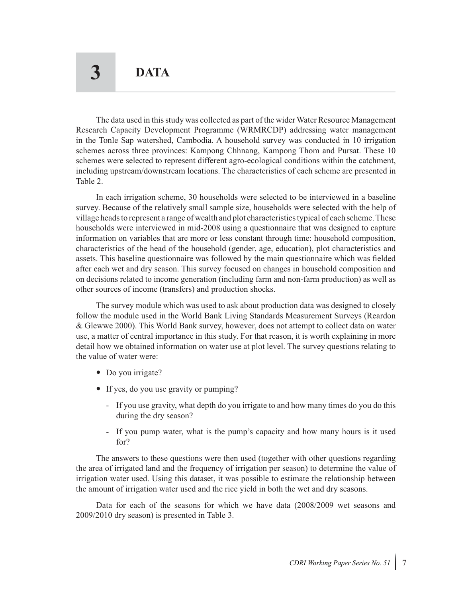The data used in this study was collected as part of the wider Water Resource Management Research Capacity Development Programme (WRMRCDP) addressing water management in the Tonle Sap watershed, Cambodia. A household survey was conducted in 10 irrigation schemes across three provinces: Kampong Chhnang, Kampong Thom and Pursat. These 10 schemes were selected to represent different agro-ecological conditions within the catchment, including upstream/downstream locations. The characteristics of each scheme are presented in Table 2.

In each irrigation scheme, 30 households were selected to be interviewed in a baseline survey. Because of the relatively small sample size, households were selected with the help of village heads to represent a range of wealth and plot characteristics typical of each scheme. These households were interviewed in mid-2008 using a questionnaire that was designed to capture information on variables that are more or less constant through time: household composition, characteristics of the head of the household (gender, age, education), plot characteristics and assets. This baseline questionnaire was followed by the main questionnaire which was fielded after each wet and dry season. This survey focused on changes in household composition and on decisions related to income generation (including farm and non-farm production) as well as other sources of income (transfers) and production shocks.

The survey module which was used to ask about production data was designed to closely follow the module used in the World Bank Living Standards Measurement Surveys (Reardon & Glewwe 2000). This World Bank survey, however, does not attempt to collect data on water use, a matter of central importance in this study. For that reason, it is worth explaining in more detail how we obtained information on water use at plot level. The survey questions relating to the value of water were:

- Do you irrigate?
- If yes, do you use gravity or pumping?
	- If you use gravity, what depth do you irrigate to and how many times do you do this during the dry season?
	- If you pump water, what is the pump's capacity and how many hours is it used for?

The answers to these questions were then used (together with other questions regarding the area of irrigated land and the frequency of irrigation per season) to determine the value of irrigation water used. Using this dataset, it was possible to estimate the relationship between the amount of irrigation water used and the rice yield in both the wet and dry seasons.

Data for each of the seasons for which we have data (2008/2009 wet seasons and 2009/2010 dry season) is presented in Table 3.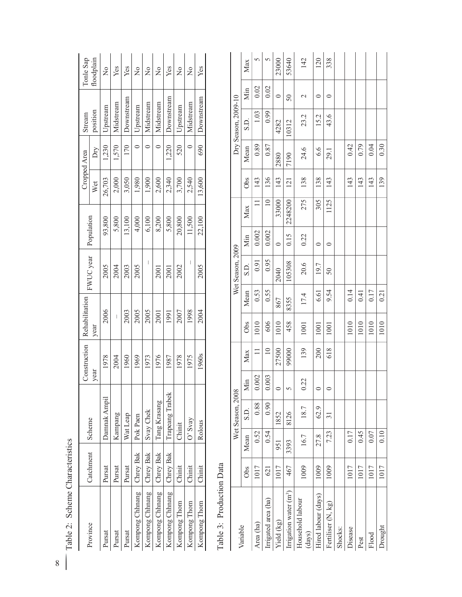| Table 2: Scheme Characteristics<br>8 |           |         |                  |                 |                 |                |      |                  |            |                 |        |              |                     |               |                   |
|--------------------------------------|-----------|---------|------------------|-----------------|-----------------|----------------|------|------------------|------------|-----------------|--------|--------------|---------------------|---------------|-------------------|
|                                      |           |         |                  |                 | Construction    | Rehabilitation |      |                  |            |                 |        | Cropped Area | Stream              |               | Tonle Sap         |
| Province                             | Catchment | Scheme  |                  | year            |                 | year           |      | FWUC year        | Population |                 | Wet    | $\rm{Dry}$   | position            |               | floodplain        |
| Pursat                               | Pursat    |         | Damnak Ampil     |                 | 1978            | 2006           |      | 2005             |            | 93,800          | 26,703 | 1,230        | Upstream            |               | $\frac{1}{2}$     |
| Pursat                               | Pursat    |         | Kampang          |                 | 2004            |                |      | 2004             |            | 5,800           | 2,000  | 1,570        | Midstream           |               | Yes               |
| Pursat                               | Pursat    |         | Wat Leap         |                 | 1960            | 2003           |      | 2003             |            | 13,100          | 3,050  | 170          | Downstream          |               | Yes               |
| Kompong Chhnang                      | Chrey Bak |         | Pok Paen         |                 | 1969            | 2005           |      | 2005             |            | 4,000           | 1,980  | $\circ$      | Upstream            |               | $\frac{1}{2}$     |
| Kompong Chhnang                      | Chrey Bak |         | Svay Chek        |                 | 1973            | 2005           |      |                  |            | 6,100           | 1,900  | $\circ$      | Midstream           |               | $\tilde{z}$       |
| Kompong Chhnang                      | Chrey Bak |         | Tang Krasang     |                 | 1976            | 2001           |      | 2001             |            | 8,200           | 2,600  | $\circ$      | Midstream           |               | $\frac{1}{2}$     |
| Kompong Chhnang                      | Chrey Bak |         | Trapeang Trabek  |                 | 1987            | 1991           |      | 2001             |            | 5,800           | 2,340  | 1,220        | Downstream          |               | Yes               |
| Kompong Thom                         | Chinit    | Chinit  |                  |                 | 1978            | 2007           |      | 2002             |            | 20,800          | 3,700  | 520          | Upstream            |               | $\frac{1}{2}$     |
| Kompong Thom                         | Chinit    | O' Svay |                  |                 | 1975            | 1998           |      | $\overline{1}$   |            | 11,500          | 2,540  | $\circ$      | Midstream           |               | $\frac{1}{2}$     |
| Kompong<br>Thom                      | Chinit    | Rolous  |                  |                 | 1960s           | 2004           |      | 2005             |            | 22,100          | 13,600 | 690          | Downstream          |               | Yes               |
|                                      |           |         | Wet Season, 2008 |                 |                 |                |      | Wet Season, 2009 |            |                 |        |              | Dry Season, 2009-10 |               |                   |
| Variable                             | Obs       | Mean    | S.D.             | Min             | Max             | Obs            | Mean | S.D.             | Min        | Max             | Obs    | Mean         | S.D                 | Min           | Max               |
| Area (ha)                            | 1017      | 0.52    | 0.88             | 0.002           | $\Box$          | 1010           | 0.53 | 0.91             | 0.002      | $\Box$          | 143    | 0.89         | 1.03                | 0.02          | 5                 |
| Irrigated area (ha)                  | 621       | 0.54    | 0.90             | 0.003           | $\overline{10}$ | 606            | 0.55 | 0.95             | 0.002      | $\overline{10}$ | 136    | 0.87         | 0.99                | 0.02          | $\mathsf{\Omega}$ |
| Yield (kg)                           | 1017      | 951     | 1852             |                 | 27500           | 1010           | 867  | 2040             | $\circ$    | 33000           | 143    | 2880         | 4282                | $\circ$       | 23000             |
| Irrigation water (m <sup>3</sup> )   | 467       | 3393    | 8126             |                 | 99000           | 458            | 8355 | 105308           | 0.15       | 2248200         | 121    | 7190         | 10312               | 50            | 53640             |
| Household labour<br>(days)           | 1009      | 16.7    | 18.7             | $\overline{22}$ | 139             | 1001           | 17.4 | 20.6             | 0.22       | 275             | 138    | 24.6         | 23.2                | $\mathcal{L}$ | 142               |
| Hired labour (days)                  | 1009      | 27.8    | 62.9             |                 | 200             | 1001           | 6.61 | 19.7             | $\circ$    | 305             | 138    | 6.6          | 15.2                | $\circ$       | 120               |
| Fertiliser (N, kg)                   | 1009      | 7.23    | $\overline{31}$  |                 | 618             | 1001           | 9.54 | 50               | $\circ$    | 1125            | 143    | 29.1         | 43.6                | $\circ$       | 338               |
| Shocks:                              |           |         |                  |                 |                 |                |      |                  |            |                 |        |              |                     |               |                   |
| Disease                              | 1017      | 0.17    |                  |                 |                 | 1010           | 0.14 |                  |            |                 | 143    | 0.42         |                     |               |                   |
| Pest                                 | 1017      | 0.45    |                  |                 |                 | 1010           | 0.41 |                  |            |                 | 143    | 0.79         |                     |               |                   |
| Flood                                | 1017      | 0.07    |                  |                 |                 | 1010           | 0.17 |                  |            |                 | 143    | 0.04         |                     |               |                   |
| Drought                              | 1017      | 0.10    |                  |                 |                 | 1010           | 0.21 |                  |            |                 | 139    | 0.30         |                     |               |                   |

| ž<br>Š<br>ć<br><b>Softe</b> |
|-----------------------------|
| š<br>č                      |
|                             |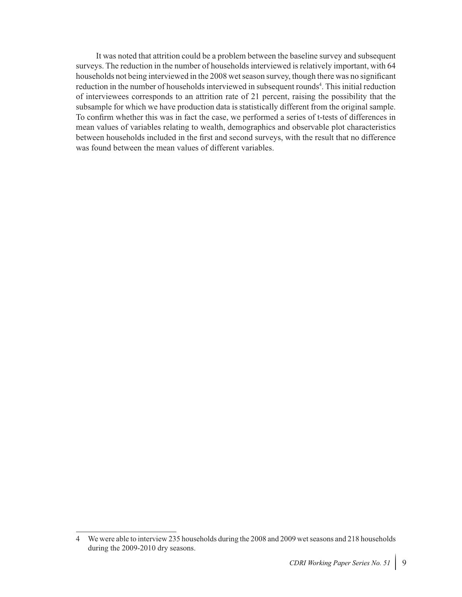It was noted that attrition could be a problem between the baseline survey and subsequent surveys. The reduction in the number of households interviewed is relatively important, with 64 households not being interviewed in the 2008 wet season survey, though there was no significant reduction in the number of households interviewed in subsequent rounds<sup>4</sup>. This initial reduction of interviewees corresponds to an attrition rate of 21 percent, raising the possibility that the subsample for which we have production data is statistically different from the original sample. To confirm whether this was in fact the case, we performed a series of t-tests of differences in mean values of variables relating to wealth, demographics and observable plot characteristics between households included in the first and second surveys, with the result that no difference was found between the mean values of different variables.

<sup>4</sup> We were able to interview 235 households during the 2008 and 2009 wet seasons and 218 households during the 2009-2010 dry seasons.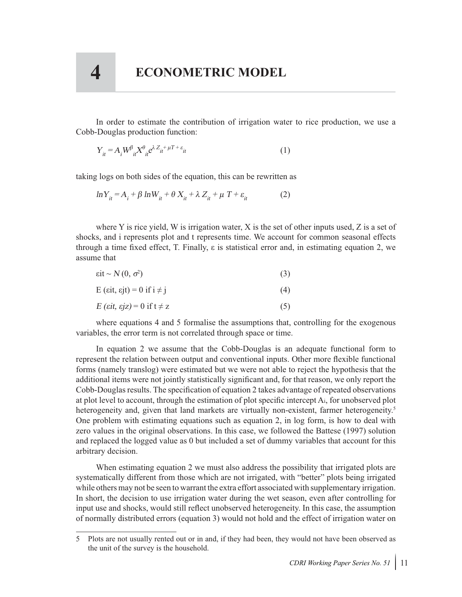In order to estimate the contribution of irrigation water to rice production, we use a Cobb-Douglas production function:

$$
Y_{it} = A_i W^{\beta}_{it} X^{\theta}_{it} e^{\lambda Z_{it} + \mu T + \varepsilon_{it}}
$$
\n<sup>(1)</sup>

taking logs on both sides of the equation, this can be rewritten as

$$
\ln Y_{it} = A_i + \beta \ln W_{it} + \theta X_{it} + \lambda Z_{it} + \mu T + \varepsilon_{it}
$$
 (2)

where Y is rice yield, W is irrigation water, X is the set of other inputs used, Z is a set of shocks, and i represents plot and t represents time. We account for common seasonal effects through a time fixed effect, T. Finally, ε is statistical error and, in estimating equation 2, we assume that

| $\text{eit} \sim N(0, \sigma^2)$                    | (3) |
|-----------------------------------------------------|-----|
| E ( $\epsilon$ it, $\epsilon$ jt) = 0 if i $\neq$ j | (4) |
| $E$ ( <i>sit, sjz</i> ) = 0 if t $\neq$ z           | (5) |

where equations 4 and 5 formalise the assumptions that, controlling for the exogenous variables, the error term is not correlated through space or time.

In equation 2 we assume that the Cobb-Douglas is an adequate functional form to represent the relation between output and conventional inputs. Other more flexible functional forms (namely translog) were estimated but we were not able to reject the hypothesis that the additional items were not jointly statistically significant and, for that reason, we only report the Cobb-Douglas results. The specification of equation 2 takes advantage of repeated observations at plot level to account, through the estimation of plot specific intercept Ai, for unobserved plot heterogeneity and, given that land markets are virtually non-existent, farmer heterogeneity.<sup>5</sup> One problem with estimating equations such as equation 2, in log form, is how to deal with zero values in the original observations. In this case, we followed the Battese (1997) solution and replaced the logged value as 0 but included a set of dummy variables that account for this arbitrary decision.

When estimating equation 2 we must also address the possibility that irrigated plots are systematically different from those which are not irrigated, with "better" plots being irrigated while others may not be seen to warrant the extra effort associated with supplementary irrigation. In short, the decision to use irrigation water during the wet season, even after controlling for input use and shocks, would still reflect unobserved heterogeneity. In this case, the assumption of normally distributed errors (equation 3) would not hold and the effect of irrigation water on

<sup>5</sup> Plots are not usually rented out or in and, if they had been, they would not have been observed as the unit of the survey is the household.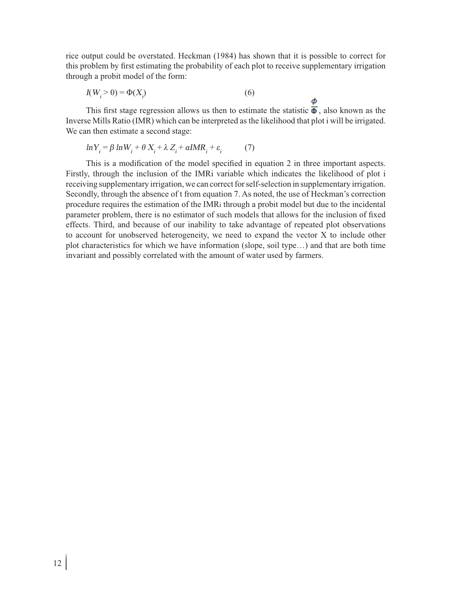rice output could be overstated. Heckman (1984) has shown that it is possible to correct for this problem by first estimating the probability of each plot to receive supplementary irrigation through a probit model of the form:

$$
I(Wj > 0) = \Phi(Xj)
$$
\n(6)

This first stage regression allows us then to estimate the statistic  $\overline{\Phi}$ , also known as the Inverse Mills Ratio (IMR) which can be interpreted as the likelihood that plot i will be irrigated. We can then estimate a second stage:

$$
\ln Y_i = \beta \ln W_i + \theta X_i + \lambda Z_i + \alpha \text{IMR}_i + \varepsilon_i \tag{7}
$$

This is a modification of the model specified in equation 2 in three important aspects. Firstly, through the inclusion of the IMRi variable which indicates the likelihood of plot i receiving supplementary irrigation, we can correct for self-selection in supplementary irrigation. Secondly, through the absence of t from equation 7. As noted, the use of Heckman's correction procedure requires the estimation of the IMRi through a probit model but due to the incidental parameter problem, there is no estimator of such models that allows for the inclusion of fixed effects. Third, and because of our inability to take advantage of repeated plot observations to account for unobserved heterogeneity, we need to expand the vector X to include other plot characteristics for which we have information (slope, soil type…) and that are both time invariant and possibly correlated with the amount of water used by farmers.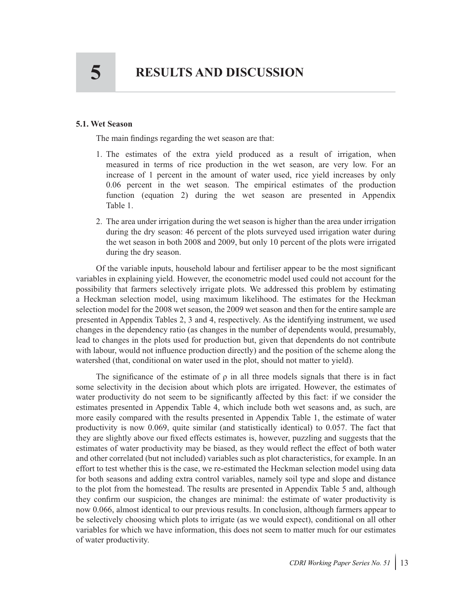#### **5.1. Wet Season**

The main findings regarding the wet season are that:

- 1. The estimates of the extra yield produced as a result of irrigation, when measured in terms of rice production in the wet season, are very low. For an increase of 1 percent in the amount of water used, rice yield increases by only 0.06 percent in the wet season. The empirical estimates of the production function (equation 2) during the wet season are presented in Appendix Table 1.
- 2. The area under irrigation during the wet season is higher than the area under irrigation during the dry season: 46 percent of the plots surveyed used irrigation water during the wet season in both 2008 and 2009, but only 10 percent of the plots were irrigated during the dry season.

Of the variable inputs, household labour and fertiliser appear to be the most significant variables in explaining yield. However, the econometric model used could not account for the possibility that farmers selectively irrigate plots. We addressed this problem by estimating a Heckman selection model, using maximum likelihood. The estimates for the Heckman selection model for the 2008 wet season, the 2009 wet season and then for the entire sample are presented in Appendix Tables 2, 3 and 4, respectively. As the identifying instrument, we used changes in the dependency ratio (as changes in the number of dependents would, presumably, lead to changes in the plots used for production but, given that dependents do not contribute with labour, would not influence production directly) and the position of the scheme along the watershed (that, conditional on water used in the plot, should not matter to yield).

The significance of the estimate of  $\rho$  in all three models signals that there is in fact some selectivity in the decision about which plots are irrigated. However, the estimates of water productivity do not seem to be significantly affected by this fact: if we consider the estimates presented in Appendix Table 4, which include both wet seasons and, as such, are more easily compared with the results presented in Appendix Table 1, the estimate of water productivity is now 0.069, quite similar (and statistically identical) to 0.057. The fact that they are slightly above our fixed effects estimates is, however, puzzling and suggests that the estimates of water productivity may be biased, as they would reflect the effect of both water and other correlated (but not included) variables such as plot characteristics, for example. In an effort to test whether this is the case, we re-estimated the Heckman selection model using data for both seasons and adding extra control variables, namely soil type and slope and distance to the plot from the homestead. The results are presented in Appendix Table 5 and, although they confirm our suspicion, the changes are minimal: the estimate of water productivity is now 0.066, almost identical to our previous results. In conclusion, although farmers appear to be selectively choosing which plots to irrigate (as we would expect), conditional on all other variables for which we have information, this does not seem to matter much for our estimates of water productivity.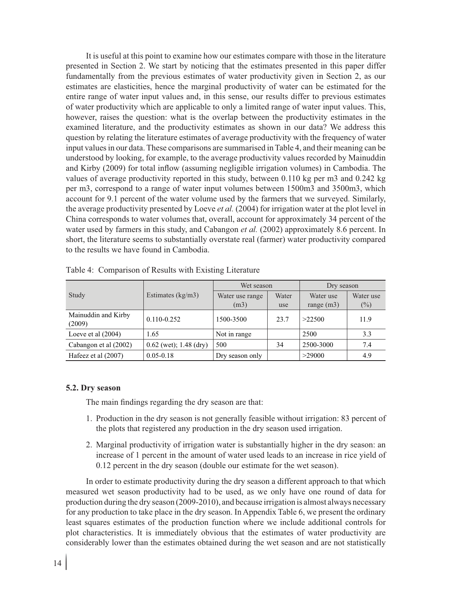It is useful at this point to examine how our estimates compare with those in the literature presented in Section 2. We start by noticing that the estimates presented in this paper differ fundamentally from the previous estimates of water productivity given in Section 2, as our estimates are elasticities, hence the marginal productivity of water can be estimated for the entire range of water input values and, in this sense, our results differ to previous estimates of water productivity which are applicable to only a limited range of water input values. This, however, raises the question: what is the overlap between the productivity estimates in the examined literature, and the productivity estimates as shown in our data? We address this question by relating the literature estimates of average productivity with the frequency of water input values in our data. These comparisons are summarised in Table 4, and their meaning can be understood by looking, for example, to the average productivity values recorded by Mainuddin and Kirby (2009) for total inflow (assuming negligible irrigation volumes) in Cambodia. The values of average productivity reported in this study, between 0.110 kg per m3 and 0.242 kg per m3, correspond to a range of water input volumes between 1500m3 and 3500m3, which account for 9.1 percent of the water volume used by the farmers that we surveyed. Similarly, the average productivity presented by Loeve *et al.* (2004) for irrigation water at the plot level in China corresponds to water volumes that, overall, account for approximately 34 percent of the water used by farmers in this study, and Cabangon *et al.* (2002) approximately 8.6 percent. In short, the literature seems to substantially overstate real (farmer) water productivity compared to the results we have found in Cambodia.

|                               |                          | Wet season      |       | Dry season   |           |
|-------------------------------|--------------------------|-----------------|-------|--------------|-----------|
| Study                         | Estimates $(kg/m3)$      | Water use range | Water | Water use    | Water use |
|                               |                          | (m3)            | use   | range $(m3)$ | $($ %)    |
| Mainuddin and Kirby<br>(2009) | $0.110 - 0.252$          | 1500-3500       | 23.7  | >22500       | 11.9      |
| Loeve et al $(2004)$          | 1.65                     | Not in range    |       | 2500         | 3.3       |
| Cabangon et al (2002)         | $0.62$ (wet); 1.48 (dry) | 500             | 34    | 2500-3000    | 7.4       |
| Hafeez et al (2007)           | $0.05 - 0.18$            | Dry season only |       | >29000       | 4.9       |

Table 4: Comparison of Results with Existing Literature

#### **5.2. Dry season**

The main findings regarding the dry season are that:

- 1. Production in the dry season is not generally feasible without irrigation: 83 percent of the plots that registered any production in the dry season used irrigation.
- 2. Marginal productivity of irrigation water is substantially higher in the dry season: an increase of 1 percent in the amount of water used leads to an increase in rice yield of 0.12 percent in the dry season (double our estimate for the wet season).

In order to estimate productivity during the dry season a different approach to that which measured wet season productivity had to be used, as we only have one round of data for production during the dry season (2009-2010), and because irrigation is almost always necessary for any production to take place in the dry season. In Appendix Table 6, we present the ordinary least squares estimates of the production function where we include additional controls for plot characteristics. It is immediately obvious that the estimates of water productivity are considerably lower than the estimates obtained during the wet season and are not statistically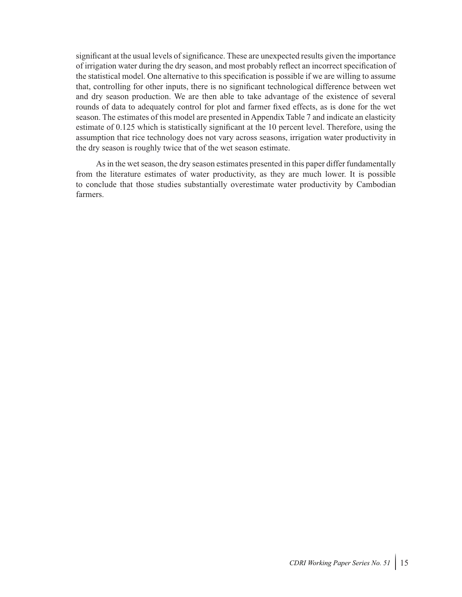significant at the usual levels of significance. These are unexpected results given the importance of irrigation water during the dry season, and most probably reflect an incorrect specification of the statistical model. One alternative to this specification is possible if we are willing to assume that, controlling for other inputs, there is no significant technological difference between wet and dry season production. We are then able to take advantage of the existence of several rounds of data to adequately control for plot and farmer fixed effects, as is done for the wet season. The estimates of this model are presented in Appendix Table 7 and indicate an elasticity estimate of 0.125 which is statistically significant at the 10 percent level. Therefore, using the assumption that rice technology does not vary across seasons, irrigation water productivity in the dry season is roughly twice that of the wet season estimate.

As in the wet season, the dry season estimates presented in this paper differ fundamentally from the literature estimates of water productivity, as they are much lower. It is possible to conclude that those studies substantially overestimate water productivity by Cambodian farmers.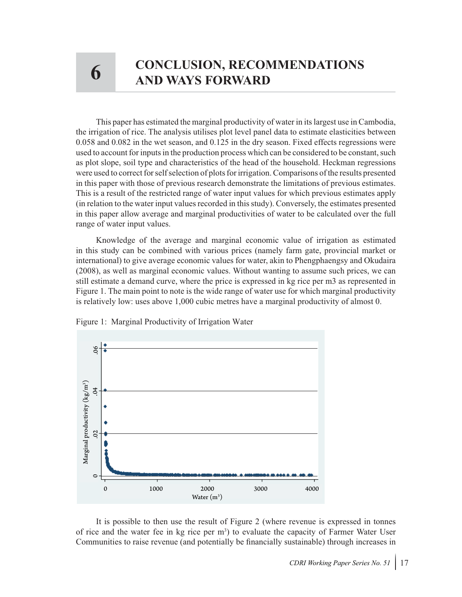# **6 CONCLUSION, RECOMMENDATIONS 6 AND WAYS FORWARD**

This paper has estimated the marginal productivity of water in its largest use in Cambodia, the irrigation of rice. The analysis utilises plot level panel data to estimate elasticities between 0.058 and 0.082 in the wet season, and 0.125 in the dry season. Fixed effects regressions were used to account for inputs in the production process which can be considered to be constant, such as plot slope, soil type and characteristics of the head of the household. Heckman regressions were used to correct for self selection of plots for irrigation. Comparisons of the results presented in this paper with those of previous research demonstrate the limitations of previous estimates. This is a result of the restricted range of water input values for which previous estimates apply (in relation to the water input values recorded in this study). Conversely, the estimates presented in this paper allow average and marginal productivities of water to be calculated over the full range of water input values.

Knowledge of the average and marginal economic value of irrigation as estimated in this study can be combined with various prices (namely farm gate, provincial market or international) to give average economic values for water, akin to Phengphaengsy and Okudaira (2008), as well as marginal economic values. Without wanting to assume such prices, we can still estimate a demand curve, where the price is expressed in kg rice per m3 as represented in Figure 1. The main point to note is the wide range of water use for which marginal productivity is relatively low: uses above 1,000 cubic metres have a marginal productivity of almost 0.



Figure 1: Marginal Productivity of Irrigation Water

It is possible to then use the result of Figure 2 (where revenue is expressed in tonnes of rice and the water fee in kg rice per m<sup>3</sup>) to evaluate the capacity of Farmer Water User Communities to raise revenue (and potentially be financially sustainable) through increases in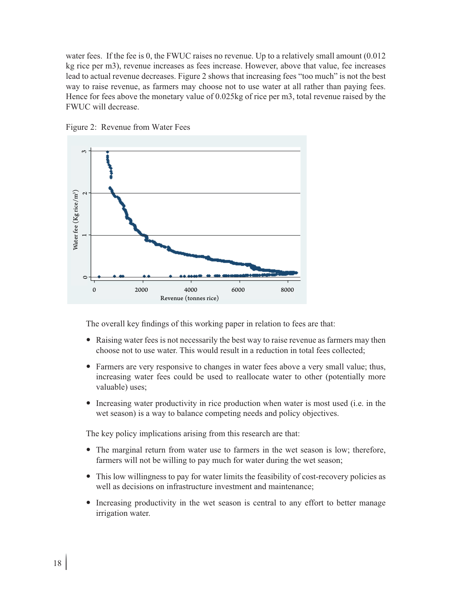water fees. If the fee is 0, the FWUC raises no revenue. Up to a relatively small amount  $(0.012)$ kg rice per m3), revenue increases as fees increase. However, above that value, fee increases lead to actual revenue decreases. Figure 2 shows that increasing fees "too much" is not the best way to raise revenue, as farmers may choose not to use water at all rather than paying fees. Hence for fees above the monetary value of 0.025kg of rice per m3, total revenue raised by the FWUC will decrease.





The overall key findings of this working paper in relation to fees are that:

- Raising water fees is not necessarily the best way to raise revenue as farmers may then choose not to use water. This would result in a reduction in total fees collected;
- Farmers are very responsive to changes in water fees above a very small value; thus, increasing water fees could be used to reallocate water to other (potentially more valuable) uses;
- Increasing water productivity in rice production when water is most used (i.e. in the wet season) is a way to balance competing needs and policy objectives.

The key policy implications arising from this research are that:

- The marginal return from water use to farmers in the wet season is low; therefore, farmers will not be willing to pay much for water during the wet season;
- This low willingness to pay for water limits the feasibility of cost-recovery policies as well as decisions on infrastructure investment and maintenance;
- Increasing productivity in the wet season is central to any effort to better manage irrigation water.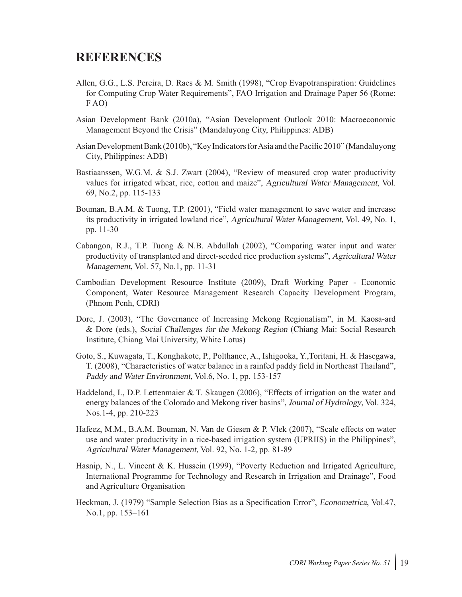#### **REFERENCES**

- Allen, G.G., L.S. Pereira, D. Raes & M. Smith (1998), "Crop Evapotranspiration: Guidelines for Computing Crop Water Requirements", FAO Irrigation and Drainage Paper 56 (Rome: F AO)
- Asian Development Bank (2010a), "Asian Development Outlook 2010: Macroeconomic Management Beyond the Crisis" (Mandaluyong City, Philippines: ADB)
- Asian Development Bank (2010b), "Key Indicators for Asia and the Pacific 2010" (Mandaluyong City, Philippines: ADB)
- Bastiaanssen, W.G.M. & S.J. Zwart (2004), "Review of measured crop water productivity values for irrigated wheat, rice, cotton and maize", Agricultural Water Management, Vol. 69, No.2, pp. 115-133
- Bouman, B.A.M. & Tuong, T.P. (2001), "Field water management to save water and increase its productivity in irrigated lowland rice", Agricultural Water Management, Vol. 49, No. 1, pp. 11-30
- Cabangon, R.J., T.P. Tuong & N.B. Abdullah (2002), "Comparing water input and water productivity of transplanted and direct-seeded rice production systems", Agricultural Water Management, Vol. 57, No.1, pp. 11-31
- Cambodian Development Resource Institute (2009), Draft Working Paper Economic Component, Water Resource Management Research Capacity Development Program, (Phnom Penh, CDRI)
- Dore, J. (2003), "The Governance of Increasing Mekong Regionalism", in M. Kaosa-ard & Dore (eds.), Social Challenges for the Mekong Region (Chiang Mai: Social Research Institute, Chiang Mai University, White Lotus)
- Goto, S., Kuwagata, T., Konghakote, P., Polthanee, A., Ishigooka, Y.,Toritani, H. & Hasegawa, T. (2008), "Characteristics of water balance in a rainfed paddy field in Northeast Thailand", Paddy and Water Environment, Vol.6, No. 1, pp. 153-157
- Haddeland, I., D.P. Lettenmaier & T. Skaugen (2006), "Effects of irrigation on the water and energy balances of the Colorado and Mekong river basins", Journal of Hydrology, Vol. 324, Nos.1-4, pp. 210-223
- Hafeez, M.M., B.A.M. Bouman, N. Van de Giesen & P. Vlek (2007), "Scale effects on water use and water productivity in a rice-based irrigation system (UPRIIS) in the Philippines", Agricultural Water Management, Vol. 92, No. 1-2, pp. 81-89
- Hasnip, N., L. Vincent & K. Hussein (1999), "Poverty Reduction and Irrigated Agriculture, International Programme for Technology and Research in Irrigation and Drainage", Food and Agriculture Organisation
- Heckman, J. (1979) "Sample Selection Bias as a Specification Error", Econometrica, Vol.47, No.1, pp. 153–161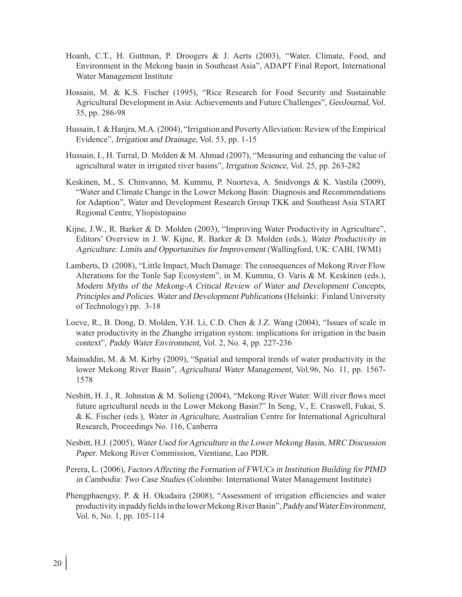- Hoanh, C.T., H. Guttman, P. Droogers & J. Aerts (2003), "Water, Climate, Food, and Environment in the Mekong basin in Southeast Asia", ADAPT Final Report, International Water Management Institute
- Hossain, M. & K.S. Fischer (1995), "Rice Research for Food Security and Sustainable Agricultural Development in Asia: Achievements and Future Challenges", GeoJournal, Vol. 35, pp. 286-98
- Hussain, I. & Hanjra, M.A. (2004), "Irrigation and Poverty Alleviation: Review of the Empirical Evidence", Irrigation and Drainage, Vol. 53, pp. 1-15
- Hussain, I., H. Turral, D. Molden & M. Ahmad (2007), "Measuring and enhancing the value of agricultural water in irrigated river basins", Irrigation Science, Vol. 25, pp. 263-282
- Keskinen, M., S. Chinvanno, M. Kummu, P. Nuorteva, A. Snidvongs & K. Vastila (2009), "Water and Climate Change in the Lower Mekong Basin: Diagnosis and Recommendations for Adaption", Water and Development Research Group TKK and Southeast Asia START Regional Centre, Yliopistopaino
- Kijne, J.W., R. Barker & D. Molden (2003), "Improving Water Productivity in Agriculture", Editors' Overview in J. W. Kijne, R. Barker & D. Molden (eds.), Water Productivity in Agriculture: Limits and Opportunities for Improvement (Wallingford, UK: CABI, IWMI)
- Lamberts, D. (2008), "Little Impact, Much Damage: The consequences of Mekong River Flow Alterations for the Tonle Sap Ecosystem", in M. Kummu, O. Varis & M. Keskinen (eds.), Modern Myths of the Mekong-A Critical Review of Water and Development Concepts, Principles and Policies. Water and Development Publications (Helsinki: Finland University of Technology) pp. 3-18
- Loeve, R., B. Dong, D. Molden, Y.H. Li, C.D. Chen & J.Z. Wang (2004), "Issues of scale in water productivity in the Zhanghe irrigation system: implications for irrigation in the basin context", Paddy Water Environment, Vol. 2, No. 4, pp. 227-236
- Mainuddin, M. & M. Kirby (2009), "Spatial and temporal trends of water productivity in the lower Mekong River Basin", Agricultural Water Management, Vol.96, No. 11, pp. 1567- 1578
- Nesbitt, H. J., R. Johnston & M. Solieng (2004), "Mekong River Water: Will river flows meet future agricultural needs in the Lower Mekong Basin?" In Seng, V., E. Craswell, Fukai, S. & K. Fischer (eds.), Water in Agriculture, Australian Centre for International Agricultural Research, Proceedings No. 116, Canberra
- Nesbitt, H.J. (2005), Water Used for Agriculture in the Lower Mekong Basin, MRC Discussion Paper. Mekong River Commission, Vientiane, Lao PDR.
- Perera, L. (2006), Factors Affecting the Formation of FWUCs in Institution Building for PIMD in Cambodia: Two Case Studies (Colombo: International Water Management Institute)
- Phengphaengsy, P. & H. Okudaira (2008), "Assessment of irrigation efficiencies and water productivity in paddy fields in the lower Mekong River Basin", Paddy and Water Environment, Vol. 6, No. 1, pp. 105-114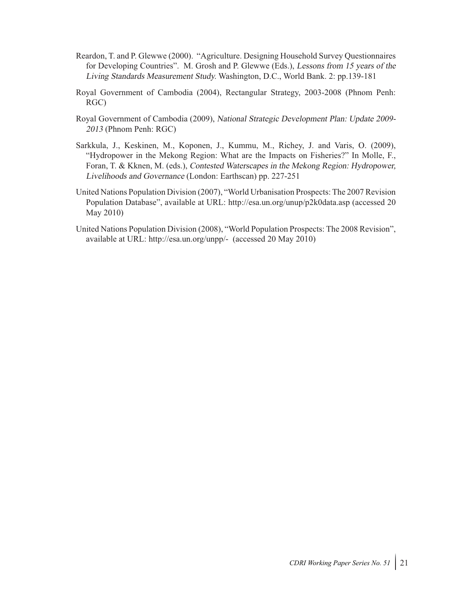- Reardon, T. and P. Glewwe (2000). "Agriculture. Designing Household Survey Questionnaires for Developing Countries". M. Grosh and P. Glewwe (Eds.), Lessons from 15 years of the Living Standards Measurement Study. Washington, D.C., World Bank. 2: pp.139-181
- Royal Government of Cambodia (2004), Rectangular Strategy, 2003-2008 (Phnom Penh: RGC)
- Royal Government of Cambodia (2009), National Strategic Development Plan: Update 2009- <sup>2013</sup> (Phnom Penh: RGC)
- Sarkkula, J., Keskinen, M., Koponen, J., Kummu, M., Richey, J. and Varis, O. (2009), "Hydropower in the Mekong Region: What are the Impacts on Fisheries?" In Molle, F., Foran, T. & Kknen, M. (eds.), Contested Waterscapes in the Mekong Region: Hydropower, Livelihoods and Governance (London: Earthscan) pp. 227-251
- United Nations Population Division (2007), "World Urbanisation Prospects: The 2007 Revision Population Database", available at URL: http://esa.un.org/unup/p2k0data.asp (accessed 20 May 2010)
- United Nations Population Division (2008), "World Population Prospects: The 2008 Revision", available at URL: http://esa.un.org/unpp/- (accessed 20 May 2010)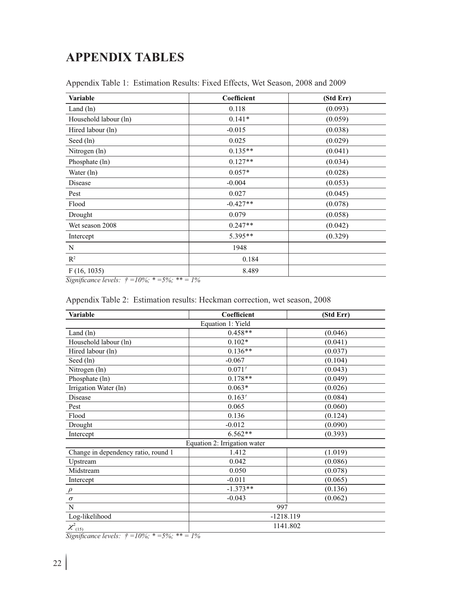## **APPENDIX TABLES**

| Variable              | Coefficient | (Std Err) |
|-----------------------|-------------|-----------|
| Land $(ln)$           | 0.118       | (0.093)   |
| Household labour (ln) | $0.141*$    | (0.059)   |
| Hired labour (ln)     | $-0.015$    | (0.038)   |
| Seed (ln)             | 0.025       | (0.029)   |
| Nitrogen (ln)         | $0.135**$   | (0.041)   |
| Phosphate (ln)        | $0.127**$   | (0.034)   |
| Water (ln)            | $0.057*$    | (0.028)   |
| Disease               | $-0.004$    | (0.053)   |
| Pest                  | 0.027       | (0.045)   |
| Flood                 | $-0.427**$  | (0.078)   |
| Drought               | 0.079       | (0.058)   |
| Wet season 2008       | $0.247**$   | (0.042)   |
| Intercept             | 5.395**     | (0.329)   |
| N                     | 1948        |           |
| $\mathbb{R}^2$        | 0.184       |           |
| F(16, 1035)           | 8.489       |           |

Appendix Table 1: Estimation Results: Fixed Effects, Wet Season, 2008 and 2009

*Significance levels: † =10%; \* =5%; \*\* = 1%*

| Variable                            | Coefficient                  | (Std Err) |
|-------------------------------------|------------------------------|-----------|
|                                     | Equation 1: Yield            |           |
| Land $(ln)$                         | $0.458**$                    | (0.046)   |
| Household labour (ln)               | $0.102*$                     | (0.041)   |
| Hired labour (ln)                   | $0.136**$                    | (0.037)   |
| Seed (ln)                           | $-0.067$                     | (0.104)   |
| Nitrogen (ln)                       | $0.071^{+}$                  | (0.043)   |
| Phosphate (ln)                      | $0.178**$                    | (0.049)   |
| Irrigation Water (ln)               | $0.063*$                     | (0.026)   |
| Disease                             | $0.163^{t}$                  | (0.084)   |
| Pest                                | 0.065                        | (0.060)   |
| Flood                               | 0.136                        | (0.124)   |
| Drought                             | $-0.012$                     | (0.090)   |
| Intercept                           | $6.562**$                    | (0.393)   |
|                                     | Equation 2: Irrigation water |           |
| Change in dependency ratio, round 1 | 1.412                        | (1.019)   |
| Upstream                            | 0.042                        | (0.086)   |
| Midstream                           | 0.050                        | (0.078)   |
| Intercept                           | $-0.011$                     | (0.065)   |
| $\rho$                              | $-1.373**$                   | (0.136)   |
| $\sigma$                            | $-0.043$                     | (0.062)   |
| N                                   | 997                          |           |
| Log-likelihood                      | $-1218.119$                  |           |
| $\chi^2_{(15)}$                     | 1141.802                     |           |

Appendix Table 2: Estimation results: Heckman correction, wet season, 2008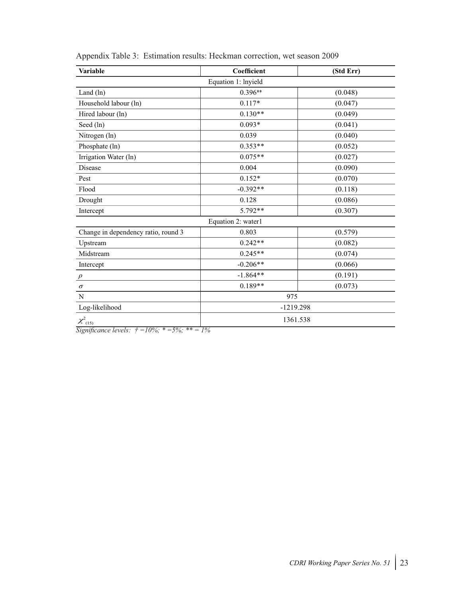| <b>Variable</b>                     | Coefficient         | (Std Err) |  |  |
|-------------------------------------|---------------------|-----------|--|--|
|                                     | Equation 1: lnyield |           |  |  |
| Land $(ln)$                         | $0.396**$           | (0.048)   |  |  |
| Household labour (ln)               | $0.117*$            | (0.047)   |  |  |
| Hired labour (ln)                   | $0.130**$           | (0.049)   |  |  |
| Seed (ln)                           | $0.093*$            | (0.041)   |  |  |
| Nitrogen (ln)                       | 0.039               | (0.040)   |  |  |
| Phosphate (ln)                      | $0.353**$           | (0.052)   |  |  |
| Irrigation Water (ln)               | $0.075**$           | (0.027)   |  |  |
| Disease                             | 0.004               | (0.090)   |  |  |
| Pest                                | $0.152*$            | (0.070)   |  |  |
| Flood                               | $-0.392**$          | (0.118)   |  |  |
| Drought                             | 0.128               | (0.086)   |  |  |
| Intercept                           | 5.792**             | (0.307)   |  |  |
|                                     | Equation 2: water1  |           |  |  |
| Change in dependency ratio, round 3 | 0.803               | (0.579)   |  |  |
| Upstream                            | $0.242**$           | (0.082)   |  |  |
| Midstream                           | $0.245**$           | (0.074)   |  |  |
| Intercept                           | $-0.206**$          | (0.066)   |  |  |
| $\rho$                              | $-1.864**$          | (0.191)   |  |  |
| $\sigma$                            | $0.189**$           | (0.073)   |  |  |
| N                                   | 975                 |           |  |  |
| Log-likelihood                      | $-1219.298$         |           |  |  |
| $\chi^2_{(15)}$                     | 1361.538            |           |  |  |

| Appendix Table 3: Estimation results: Heckman correction, wet season 2009 |  |
|---------------------------------------------------------------------------|--|
|---------------------------------------------------------------------------|--|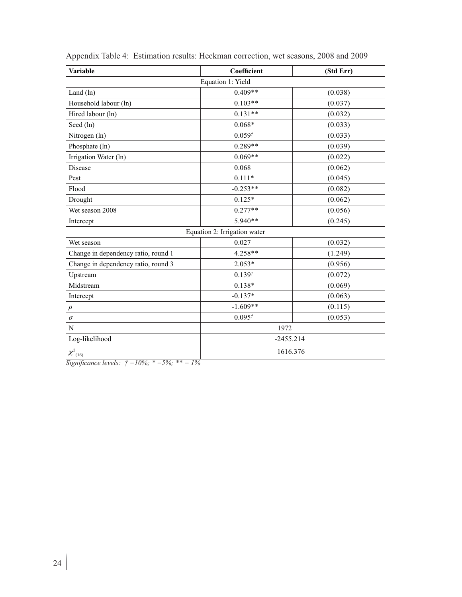| Variable                            | Coefficient       | (Std Err) |  |  |  |
|-------------------------------------|-------------------|-----------|--|--|--|
|                                     | Equation 1: Yield |           |  |  |  |
| Land $(ln)$                         | $0.409**$         | (0.038)   |  |  |  |
| Household labour (ln)               | $0.103**$         | (0.037)   |  |  |  |
| Hired labour (ln)                   | $0.131**$         | (0.032)   |  |  |  |
| Seed (ln)                           | $0.068*$          | (0.033)   |  |  |  |
| Nitrogen (ln)                       | $0.059^{t}$       | (0.033)   |  |  |  |
| Phosphate (ln)                      | $0.289**$         | (0.039)   |  |  |  |
| Irrigation Water (ln)               | $0.069**$         | (0.022)   |  |  |  |
| Disease                             | 0.068             | (0.062)   |  |  |  |
| Pest                                | $0.111*$          | (0.045)   |  |  |  |
| Flood                               | $-0.253**$        | (0.082)   |  |  |  |
| Drought                             | $0.125*$          | (0.062)   |  |  |  |
| Wet season 2008                     | $0.277**$         | (0.056)   |  |  |  |
| Intercept                           | 5.940**           | (0.245)   |  |  |  |
| Equation 2: Irrigation water        |                   |           |  |  |  |
| Wet season                          | 0.027             | (0.032)   |  |  |  |
| Change in dependency ratio, round 1 | 4.258**           | (1.249)   |  |  |  |
| Change in dependency ratio, round 3 | $2.053*$          | (0.956)   |  |  |  |
| Upstream                            | $0.139^{t}$       | (0.072)   |  |  |  |
| Midstream                           | $0.138*$          | (0.069)   |  |  |  |
| Intercept                           | $-0.137*$         | (0.063)   |  |  |  |
| $\rho$                              | $-1.609**$        | (0.115)   |  |  |  |
| $\sigma$                            | $0.095^{t}$       | (0.053)   |  |  |  |
| N                                   | 1972              |           |  |  |  |
| Log-likelihood                      | $-2455.214$       |           |  |  |  |
| $\chi^2_{(16)}$                     | 1616.376          |           |  |  |  |

Appendix Table 4: Estimation results: Heckman correction, wet seasons, 2008 and 2009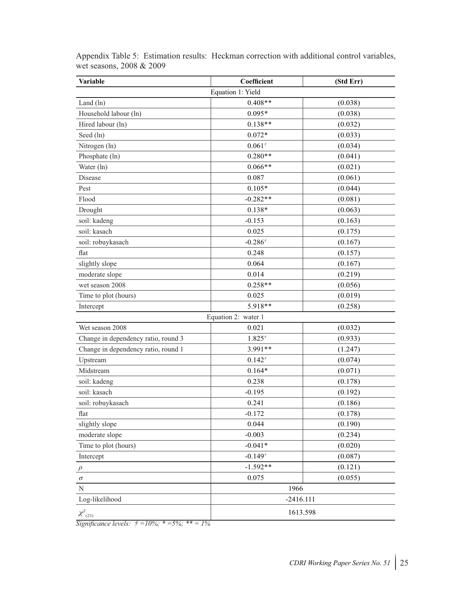| <b>Variable</b>                     | Coefficient         | (Std Err) |
|-------------------------------------|---------------------|-----------|
|                                     | Equation 1: Yield   |           |
| Land (ln)                           | $0.408**$           | (0.038)   |
| Household labour (ln)               | $0.095*$            | (0.038)   |
| Hired labour (ln)                   | $0.138**$           | (0.032)   |
| Seed (ln)                           | $0.072*$            | (0.033)   |
| Nitrogen (ln)                       | $0.061^{t}$         | (0.034)   |
| Phosphate (ln)                      | $0.280**$           | (0.041)   |
| Water (ln)                          | $0.066**$           | (0.021)   |
| Disease                             | 0.087               | (0.061)   |
| Pest                                | $0.105*$            | (0.044)   |
| Flood                               | $-0.282**$          | (0.081)   |
| Drought                             | $0.138*$            | (0.063)   |
| soil: kadeng                        | $-0.153$            | (0.163)   |
| soil: kasach                        | 0.025               | (0.175)   |
| soil: robuykasach                   | $-0.286^{t}$        | (0.167)   |
| flat                                | 0.248               | (0.157)   |
| slightly slope                      | 0.064               | (0.167)   |
| moderate slope                      | 0.014               | (0.219)   |
| wet season 2008                     | $0.258**$           | (0.056)   |
| Time to plot (hours)                | 0.025               | (0.019)   |
| Intercept                           | 5.918**             | (0.258)   |
|                                     | Equation 2: water 1 |           |
| Wet season 2008                     | 0.021               | (0.032)   |
| Change in dependency ratio, round 3 | $1.825^{t}$         | (0.933)   |
| Change in dependency ratio, round 1 | 3.991**             | (1.247)   |
| Upstream                            | $0.142^{t}$         | (0.074)   |
| Midstream                           | $0.164*$            | (0.071)   |
| soil: kadeng                        | 0.238               | (0.178)   |
| soil: kasach                        | $-0.195$            | (0.192)   |
| soil: robuykasach                   | 0.241               | (0.186)   |
| flat                                | $-0.172$            | (0.178)   |
| slightly slope                      | 0.044               | (0.190)   |
| moderate slope                      | $-0.003$            | (0.234)   |
| Time to plot (hours)                | $-0.041*$           | (0.020)   |
| Intercept                           | $-0.149^{t}$        | (0.087)   |
| $\rho$                              | $-1.592**$          | (0.121)   |
| $\sigma$                            | 0.075               | (0.055)   |
| $\mathbf N$                         | 1966                |           |
| Log-likelihood                      | $-2416.111$         |           |
| $\chi^2_{(23)}$                     | 1613.598            |           |

Appendix Table 5: Estimation results: Heckman correction with additional control variables, wet seasons, 2008 & 2009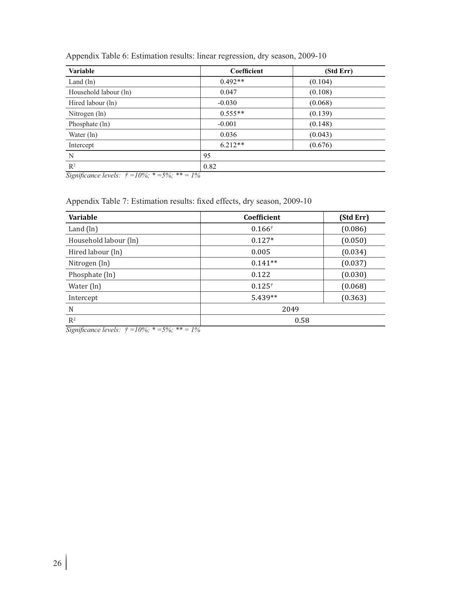| <b>Variable</b>       | Coefficient | (Std Err) |
|-----------------------|-------------|-----------|
| Land $(\ln)$          | $0.492**$   | (0.104)   |
| Household labour (ln) | 0.047       | (0.108)   |
| Hired labour (ln)     | $-0.030$    | (0.068)   |
| Nitrogen (ln)         | $0.555**$   | (0.139)   |
| Phosphate (ln)        | $-0.001$    | (0.148)   |
| Water $(\ln)$         | 0.036       | (0.043)   |
| Intercept             | $6.212**$   | (0.676)   |
| N                     | 95          |           |
| $\mathbb{R}^2$        | 0.82        |           |

Appendix Table 6: Estimation results: linear regression, dry season, 2009-10

*Significance levels: † =10%; \* =5%; \*\* = 1%*

Appendix Table 7: Estimation results: fixed effects, dry season, 2009-10

| Variable              | Coefficient | (Std Err) |
|-----------------------|-------------|-----------|
| Land $(ln)$           | $0.166^{t}$ | (0.086)   |
| Household labour (ln) | $0.127*$    | (0.050)   |
| Hired labour (ln)     | 0.005       | (0.034)   |
| Nitrogen (ln)         | $0.141**$   | (0.037)   |
| Phosphate (ln)        | 0.122       | (0.030)   |
| Water (ln)            | $0.125^{t}$ | (0.068)   |
| Intercept             | $5.439**$   | (0.363)   |
| N                     | 2049        |           |
| $R^2$                 | 0.58        |           |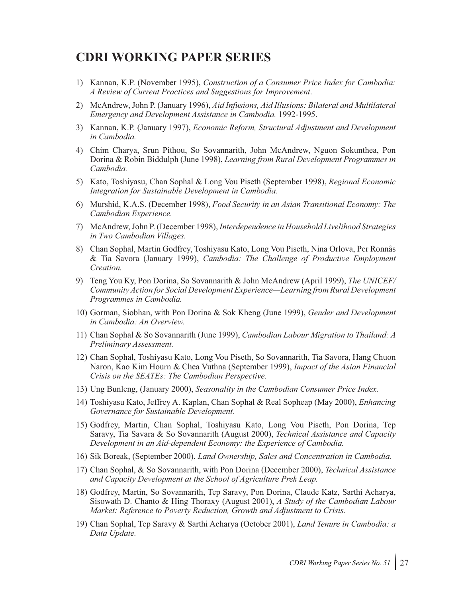### **CDRI WORKING PAPER SERIES**

- 1) Kannan, K.P. (November 1995), *Construction of a Consumer Price Index for Cambodia: A Review of Current Practices and Suggestions for Improvement*.
- 2) McAndrew, John P. (January 1996), *Aid Infusions, Aid Illusions: Bilateral and Multilateral Emergency and Development Assistance in Cambodia.* 1992-1995.
- 3) Kannan, K.P. (January 1997), *Economic Reform, Structural Adjustment and Development in Cambodia.*
- 4) Chim Charya, Srun Pithou, So Sovannarith, John McAndrew, Nguon Sokunthea, Pon Dorina & Robin Biddulph (June 1998), *Learning from Rural Development Programmes in Cambodia.*
- 5) Kato, Toshiyasu, Chan Sophal & Long Vou Piseth (September 1998), *Regional Economic Integration for Sustainable Development in Cambodia.*
- 6) Murshid, K.A.S. (December 1998), *Food Security in an Asian Transitional Economy: The Cambodian Experience.*
- 7) McAndrew, John P. (December 1998), *Interdependence in Household Livelihood Strategies in Two Cambodian Villages.*
- 8) Chan Sophal, Martin Godfrey, Toshiyasu Kato, Long Vou Piseth, Nina Orlova, Per Ronnås & Tia Savora (January 1999), *Cambodia: The Challenge of Productive Employment Creation.*
- 9) Teng You Ky, Pon Dorina, So Sovannarith & John McAndrew (April 1999), *The UNICEF/ Community Action for Social Development Experience—Learning from Rural Development Programmes in Cambodia.*
- 10) Gorman, Siobhan, with Pon Dorina & Sok Kheng (June 1999), *Gender and Development in Cambodia: An Overview.*
- 11) Chan Sophal & So Sovannarith (June 1999), *Cambodian Labour Migration to Thailand: A Preliminary Assessment.*
- 12) Chan Sophal, Toshiyasu Kato, Long Vou Piseth, So Sovannarith, Tia Savora, Hang Chuon Naron, Kao Kim Hourn & Chea Vuthna (September 1999), *Impact of the Asian Financial Crisis on the SEATEs: The Cambodian Perspective.*
- 13) Ung Bunleng, (January 2000), *Seasonality in the Cambodian Consumer Price Index.*
- 14) Toshiyasu Kato, Jeffrey A. Kaplan, Chan Sophal & Real Sopheap (May 2000), *Enhancing Governance for Sustainable Development.*
- 15) Godfrey, Martin, Chan Sophal, Toshiyasu Kato, Long Vou Piseth, Pon Dorina, Tep Saravy, Tia Savara & So Sovannarith (August 2000), *Technical Assistance and Capacity Development in an Aid-dependent Economy: the Experience of Cambodia.*
- 16) Sik Boreak, (September 2000), *Land Ownership, Sales and Concentration in Cambodia.*
- 17) Chan Sophal, & So Sovannarith, with Pon Dorina (December 2000), *Technical Assistance and Capacity Development at the School of Agriculture Prek Leap.*
- 18) Godfrey, Martin, So Sovannarith, Tep Saravy, Pon Dorina, Claude Katz, Sarthi Acharya, Sisowath D. Chanto & Hing Thoraxy (August 2001), *A Study of the Cambodian Labour Market: Reference to Poverty Reduction, Growth and Adjustment to Crisis.*
- 19) Chan Sophal, Tep Saravy & Sarthi Acharya (October 2001), *Land Tenure in Cambodia: a Data Update.*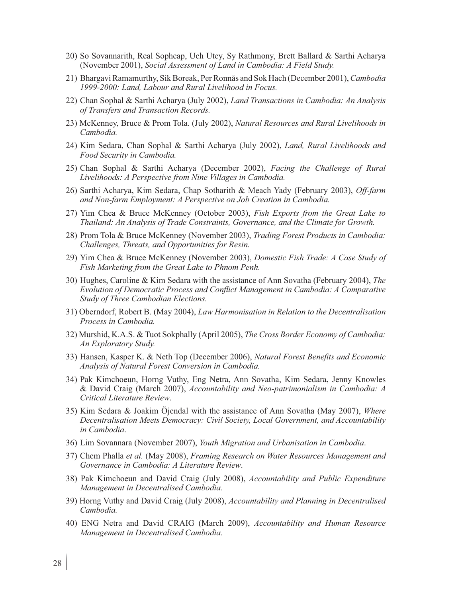- 20) So Sovannarith, Real Sopheap, Uch Utey, Sy Rathmony, Brett Ballard & Sarthi Acharya (November 2001), *Social Assessment of Land in Cambodia: A Field Study.*
- 21) Bhargavi Ramamurthy, Sik Boreak, Per Ronnås and Sok Hach (December 2001), *Cambodia 1999-2000: Land, Labour and Rural Livelihood in Focus.*
- 22) Chan Sophal & Sarthi Acharya (July 2002), *Land Transactions in Cambodia: An Analysis of Transfers and Transaction Records.*
- 23) McKenney, Bruce & Prom Tola. (July 2002), *Natural Resources and Rural Livelihoods in Cambodia.*
- 24) Kim Sedara, Chan Sophal & Sarthi Acharya (July 2002), *Land, Rural Livelihoods and Food Security in Cambodia.*
- 25) Chan Sophal & Sarthi Acharya (December 2002), *Facing the Challenge of Rural Livelihoods: A Perspective from Nine Villages in Cambodia.*
- 26) Sarthi Acharya, Kim Sedara, Chap Sotharith & Meach Yady (February 2003), *Off-farm and Non-farm Employment: A Perspective on Job Creation in Cambodia.*
- 27) Yim Chea & Bruce McKenney (October 2003), *Fish Exports from the Great Lake to Thailand: An Analysis of Trade Constraints, Governance, and the Climate for Growth.*
- 28) Prom Tola & Bruce McKenney (November 2003), *Trading Forest Products in Cambodia: Challenges, Threats, and Opportunities for Resin.*
- 29) Yim Chea & Bruce McKenney (November 2003), *Domestic Fish Trade: A Case Study of Fish Marketing from the Great Lake to Phnom Penh.*
- 30) Hughes, Caroline & Kim Sedara with the assistance of Ann Sovatha (February 2004), *The Evolution of Democratic Process and Conflict Management in Cambodia: A Comparative Study of Three Cambodian Elections.*
- 31) Oberndorf, Robert B. (May 2004), *Law Harmonisation in Relation to the Decentralisation Process in Cambodia.*
- 32) Murshid, K.A.S. & Tuot Sokphally (April 2005), *The Cross Border Economy of Cambodia: An Exploratory Study.*
- 33) Hansen, Kasper K. & Neth Top (December 2006), *Natural Forest Benefits and Economic Analysis of Natural Forest Conversion in Cambodia.*
- 34) Pak Kimchoeun, Horng Vuthy, Eng Netra, Ann Sovatha, Kim Sedara, Jenny Knowles & David Craig (March 2007), *Accountability and Neo-patrimonialism in Cambodia: A Critical Literature Review*.
- 35) Kim Sedara & Joakim Öjendal with the assistance of Ann Sovatha (May 2007), *Where Decentralisation Meets Democracy: Civil Society, Local Government, and Accountability in Cambodia*.
- 36) Lim Sovannara (November 2007), *Youth Migration and Urbanisation in Cambodia*.
- 37) Chem Phalla *et al.* (May 2008), *Framing Research on Water Resources Management and Governance in Cambodia: A Literature Review*.
- 38) Pak Kimchoeun and David Craig (July 2008), *Accountability and Public Expenditure Management in Decentralised Cambodia.*
- 39) Horng Vuthy and David Craig (July 2008), *Accountability and Planning in Decentralised Cambodia.*
- 40) ENG Netra and David CRAIG (March 2009), *Accountability and Human Resource Management in Decentralised Cambodia*.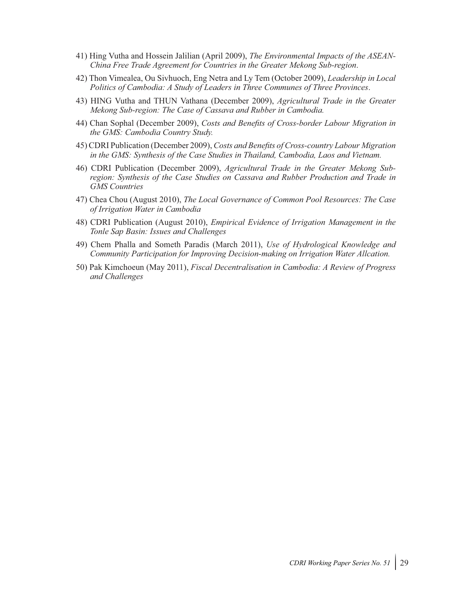- 41) Hing Vutha and Hossein Jalilian (April 2009), *The Environmental Impacts of the ASEAN-China Free Trade Agreement for Countries in the Greater Mekong Sub-region*.
- 42) Thon Vimealea, Ou Sivhuoch, Eng Netra and Ly Tem (October 2009), *Leadership in Local Politics of Cambodia: A Study of Leaders in Three Communes of Three Provinces*.
- 43) HING Vutha and THUN Vathana (December 2009), *Agricultural Trade in the Greater Mekong Sub-region: The Case of Cassava and Rubber in Cambodia.*
- 44) Chan Sophal (December 2009), *Costs and Benefits of Cross-border Labour Migration in the GMS: Cambodia Country Study.*
- 45) CDRI Publication (December 2009), *Costs and Benefits of Cross-country Labour Migration in the GMS: Synthesis of the Case Studies in Thailand, Cambodia, Laos and Vietnam.*
- 46) CDRI Publication (December 2009), *Agricultural Trade in the Greater Mekong Subregion: Synthesis of the Case Studies on Cassava and Rubber Production and Trade in GMS Countries*
- 47) Chea Chou (August 2010), *The Local Governance of Common Pool Resources: The Case of Irrigation Water in Cambodia*
- 48) CDRI Publication (August 2010), *Empirical Evidence of Irrigation Management in the Tonle Sap Basin: Issues and Challenges*
- 49) Chem Phalla and Someth Paradis (March 2011), *Use of Hydrological Knowledge and Community Participation for Improving Decision-making on Irrigation Water Allcation.*
- 50) Pak Kimchoeun (May 2011), *Fiscal Decentralisation in Cambodia: A Review of Progress and Challenges*